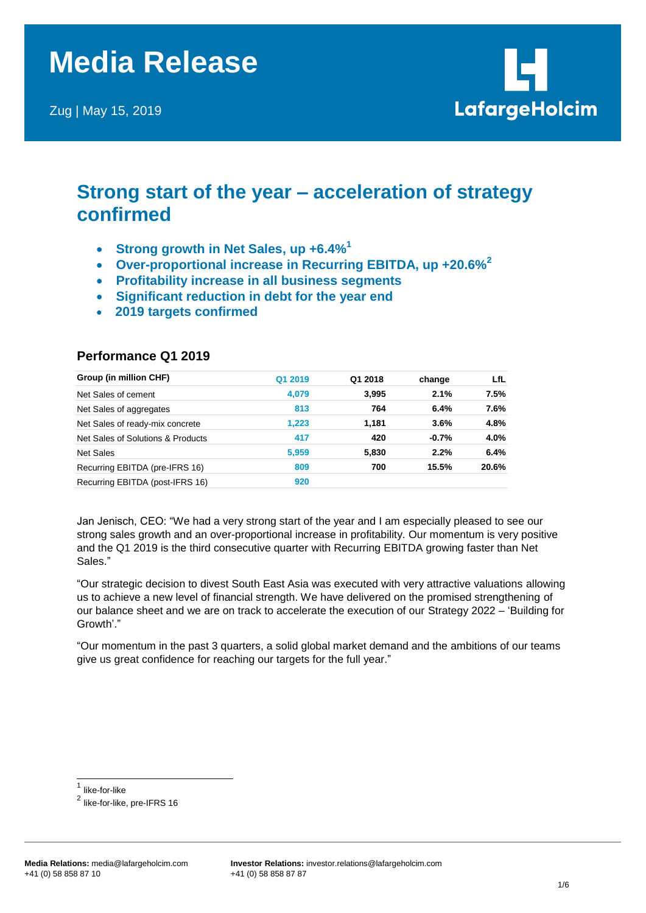Zug | May 15, 2019



# **Strong start of the year – acceleration of strategy confirmed**

- **Strong growth in Net Sales, up +6.4%<sup>1</sup>**
- **Over-proportional increase in Recurring EBITDA, up +20.6%<sup>2</sup>**
- **Profitability increase in all business segments**
- **Significant reduction in debt for the year end**
- **2019 targets confirmed**

| Group (in million CHF)            | Q1 2019 | Q1 2018 | change  | LfL   |
|-----------------------------------|---------|---------|---------|-------|
| Net Sales of cement               | 4,079   | 3,995   | 2.1%    | 7.5%  |
| Net Sales of aggregates           | 813     | 764     | 6.4%    | 7.6%  |
| Net Sales of ready-mix concrete   | 1.223   | 1,181   | 3.6%    | 4.8%  |
| Net Sales of Solutions & Products | 417     | 420     | $-0.7%$ | 4.0%  |
| <b>Net Sales</b>                  | 5,959   | 5,830   | 2.2%    | 6.4%  |
| Recurring EBITDA (pre-IFRS 16)    | 809     | 700     | 15.5%   | 20.6% |
| Recurring EBITDA (post-IFRS 16)   | 920     |         |         |       |

# **Performance Q1 2019**

Jan Jenisch, CEO: "We had a very strong start of the year and I am especially pleased to see our strong sales growth and an over-proportional increase in profitability. Our momentum is very positive and the Q1 2019 is the third consecutive quarter with Recurring EBITDA growing faster than Net Sales."

"Our strategic decision to divest South East Asia was executed with very attractive valuations allowing us to achieve a new level of financial strength. We have delivered on the promised strengthening of our balance sheet and we are on track to accelerate the execution of our Strategy 2022 – 'Building for Growth'."

"Our momentum in the past 3 quarters, a solid global market demand and the ambitions of our teams give us great confidence for reaching our targets for the full year."

 $\overline{\phantom{a}}$ 

<sup>1</sup> like-for-like

 $^{\sf 2}$  like-for-like, pre-IFRS 16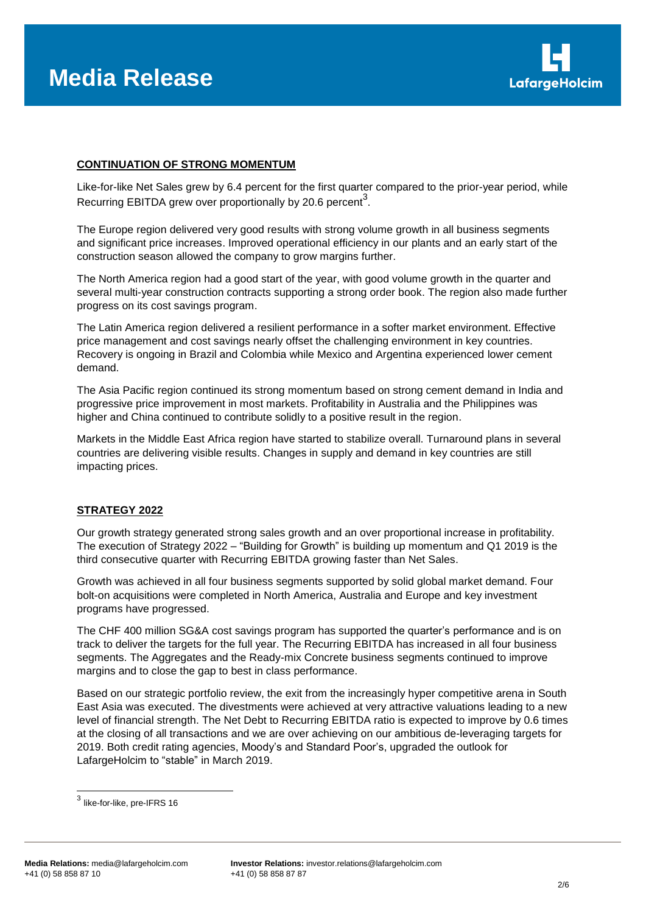

## **CONTINUATION OF STRONG MOMENTUM**

Like-for-like Net Sales grew by 6.4 percent for the first quarter compared to the prior-year period, while Recurring EBITDA grew over proportionally by 20.6 percent<sup>3</sup>.

The Europe region delivered very good results with strong volume growth in all business segments and significant price increases. Improved operational efficiency in our plants and an early start of the construction season allowed the company to grow margins further.

The North America region had a good start of the year, with good volume growth in the quarter and several multi-year construction contracts supporting a strong order book. The region also made further progress on its cost savings program.

The Latin America region delivered a resilient performance in a softer market environment. Effective price management and cost savings nearly offset the challenging environment in key countries. Recovery is ongoing in Brazil and Colombia while Mexico and Argentina experienced lower cement demand.

The Asia Pacific region continued its strong momentum based on strong cement demand in India and progressive price improvement in most markets. Profitability in Australia and the Philippines was higher and China continued to contribute solidly to a positive result in the region.

Markets in the Middle East Africa region have started to stabilize overall. Turnaround plans in several countries are delivering visible results. Changes in supply and demand in key countries are still impacting prices.

#### **STRATEGY 2022**

Our growth strategy generated strong sales growth and an over proportional increase in profitability. The execution of Strategy 2022 – "Building for Growth" is building up momentum and Q1 2019 is the third consecutive quarter with Recurring EBITDA growing faster than Net Sales.

Growth was achieved in all four business segments supported by solid global market demand. Four bolt-on acquisitions were completed in North America, Australia and Europe and key investment programs have progressed.

The CHF 400 million SG&A cost savings program has supported the quarter's performance and is on track to deliver the targets for the full year. The Recurring EBITDA has increased in all four business segments. The Aggregates and the Ready-mix Concrete business segments continued to improve margins and to close the gap to best in class performance.

Based on our strategic portfolio review, the exit from the increasingly hyper competitive arena in South East Asia was executed. The divestments were achieved at very attractive valuations leading to a new level of financial strength. The Net Debt to Recurring EBITDA ratio is expected to improve by 0.6 times at the closing of all transactions and we are over achieving on our ambitious de-leveraging targets for 2019. Both credit rating agencies, Moody's and Standard Poor's, upgraded the outlook for LafargeHolcim to "stable" in March 2019.

 3 like-for-like, pre-IFRS 16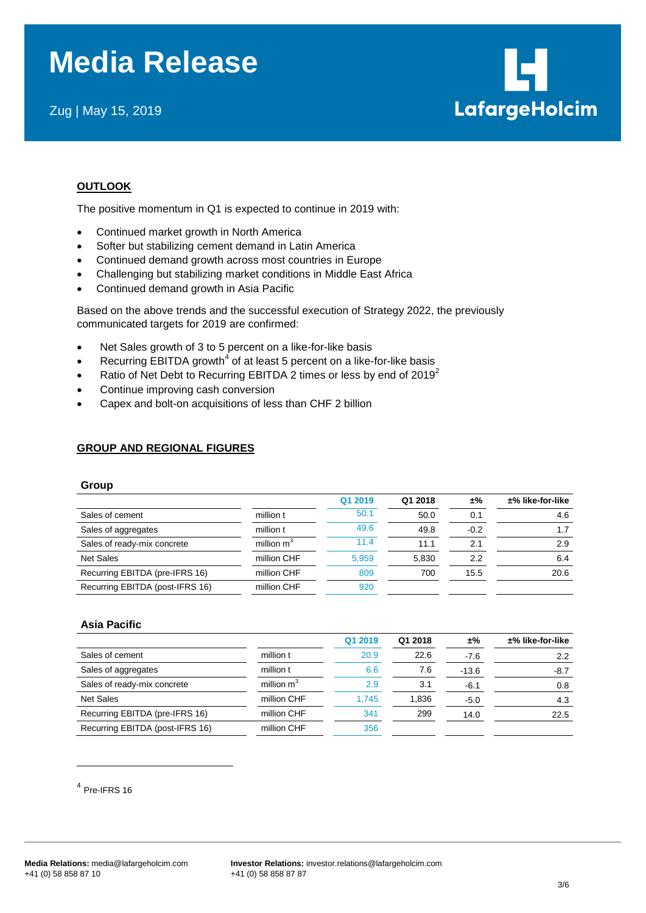# **Media Release**

Zug | May 15, 2019



# **OUTLOOK**

The positive momentum in Q1 is expected to continue in 2019 with:

- Continued market growth in North America
- Softer but stabilizing cement demand in Latin America
- Continued demand growth across most countries in Europe
- Challenging but stabilizing market conditions in Middle East Africa
- Continued demand growth in Asia Pacific

Based on the above trends and the successful execution of Strategy 2022, the previously communicated targets for 2019 are confirmed:

- Net Sales growth of 3 to 5 percent on a like-for-like basis
- Recurring EBITDA growth<sup>4</sup> of at least 5 percent on a like-for-like basis
- Ratio of Net Debt to Recurring EBITDA 2 times or less by end of 2019<sup>2</sup>
- Continue improving cash conversion
- Capex and bolt-on acquisitions of less than CHF 2 billion

# **GROUP AND REGIONAL FIGURES**

#### **Group**

|                                 |                        | Q1 2019 | Q1 2018 | ±%     | ±% like-for-like |
|---------------------------------|------------------------|---------|---------|--------|------------------|
| Sales of cement                 | million t              | 50.1    | 50.0    | 0.1    | 4.6              |
| Sales of aggregates             | million t              | 49.6    | 49.8    | $-0.2$ |                  |
| Sales of ready-mix concrete     | million m <sup>3</sup> | 11.4    | 11.1    | 2.1    | 2.9              |
| <b>Net Sales</b>                | million CHF            | 5,959   | 5.830   | 2.2    | 6.4              |
| Recurring EBITDA (pre-IFRS 16)  | million CHF            | 809     | 700     | 15.5   | 20.6             |
| Recurring EBITDA (post-IFRS 16) | million CHF            | 920     |         |        |                  |

#### **Asia Pacific**

|                                 |               | Q1 2019 | Q1 2018 | ±%      | $±%$ like-for-like |
|---------------------------------|---------------|---------|---------|---------|--------------------|
| Sales of cement                 | million t     | 20.9    | 22.6    | $-7.6$  | 2.2                |
| Sales of aggregates             | million t     | 6.6     | 7.6     | $-13.6$ | -8.7               |
| Sales of ready-mix concrete     | million $m^3$ | 2.9     | 3.1     | $-6.1$  | 0.8                |
| Net Sales                       | million CHF   | 1.745   | 1.836   | $-5.0$  | 4.3                |
| Recurring EBITDA (pre-IFRS 16)  | million CHF   | 341     | 299     | 14.0    | 22.5               |
| Recurring EBITDA (post-IFRS 16) | million CHF   | 356     |         |         |                    |

4 Pre-IFRS 16

l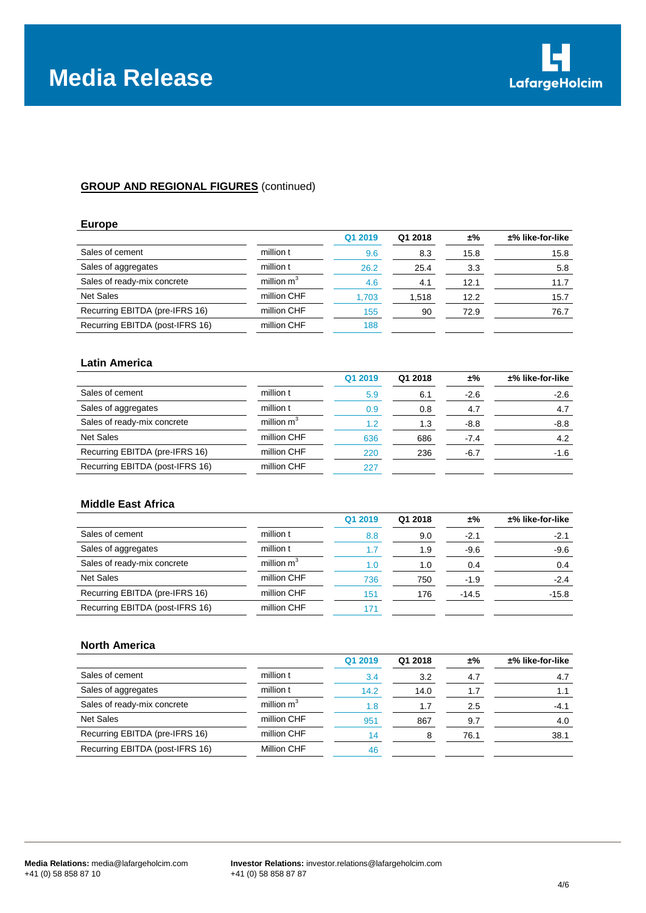

# **GROUP AND REGIONAL FIGURES** (continued)

#### **Europe**

|                                 |              | Q1 2019 | Q1 2018 | ±%   | $±%$ like-for-like |
|---------------------------------|--------------|---------|---------|------|--------------------|
| Sales of cement                 | million t    | 9.6     | 8.3     | 15.8 | 15.8               |
| Sales of aggregates             | million t    | 26.2    | 25.4    | 3.3  | 5.8                |
| Sales of ready-mix concrete     | million $m3$ | 4.6     | 4.1     | 12.1 | 11.7               |
| <b>Net Sales</b>                | million CHF  | 1,703   | 1.518   | 12.2 | 15.7               |
| Recurring EBITDA (pre-IFRS 16)  | million CHF  | 155     | 90      | 72.9 | 76.7               |
| Recurring EBITDA (post-IFRS 16) | million CHF  | 188     |         |      |                    |
|                                 |              |         |         |      |                    |

#### **Latin America**

|                                 |               | Q1 2019 | Q1 2018 | ±%     | $±%$ like-for-like |
|---------------------------------|---------------|---------|---------|--------|--------------------|
| Sales of cement                 | million t     | 5.9     | 6.1     | $-2.6$ | $-2.6$             |
| Sales of aggregates             | million t     | 0.9     | 0.8     | 4.7    | 4.7                |
| Sales of ready-mix concrete     | million $m^3$ | 1.2     | 1.3     | $-8.8$ | $-8.8$             |
| <b>Net Sales</b>                | million CHF   | 636     | 686     | $-7.4$ | 4.2                |
| Recurring EBITDA (pre-IFRS 16)  | million CHF   | 220     | 236     | -6.7   | $-1.6$             |
| Recurring EBITDA (post-IFRS 16) | million CHF   | 227     |         |        |                    |

# **Middle East Africa**

|                                 |               | Q1 2019 | Q1 2018 | ±%      | $±%$ like-for-like |
|---------------------------------|---------------|---------|---------|---------|--------------------|
| Sales of cement                 | million t     | 8.8     | 9.0     | -2.1    | $-2.1$             |
| Sales of aggregates             | million t     | 1.7     | 1.9     | $-9.6$  | $-9.6$             |
| Sales of ready-mix concrete     | million $m^3$ | 1.0     | 1.0     | 0.4     | 0.4                |
| <b>Net Sales</b>                | million CHF   | 736     | 750     | $-1.9$  | $-2.4$             |
| Recurring EBITDA (pre-IFRS 16)  | million CHF   | 151     | 176     | $-14.5$ | $-15.8$            |
| Recurring EBITDA (post-IFRS 16) | million CHF   | 171     |         |         |                    |

#### **North America**

|                                 |              | Q1 2019 | Q1 2018 | ±%   | $±%$ like-for-like |
|---------------------------------|--------------|---------|---------|------|--------------------|
| Sales of cement                 | million t    | 3.4     | 3.2     | 4.7  | 4.7                |
| Sales of aggregates             | million t    | 14.2    | 14.0    | 1.7  |                    |
| Sales of ready-mix concrete     | million $m3$ | 1.8     | 1.7     | 2.5  | $-4.1$             |
| <b>Net Sales</b>                | million CHF  | 951     | 867     | 9.7  | 4.0                |
| Recurring EBITDA (pre-IFRS 16)  | million CHF  | 14      |         | 76.1 | 38.1               |
| Recurring EBITDA (post-IFRS 16) | Million CHF  | 46      |         |      |                    |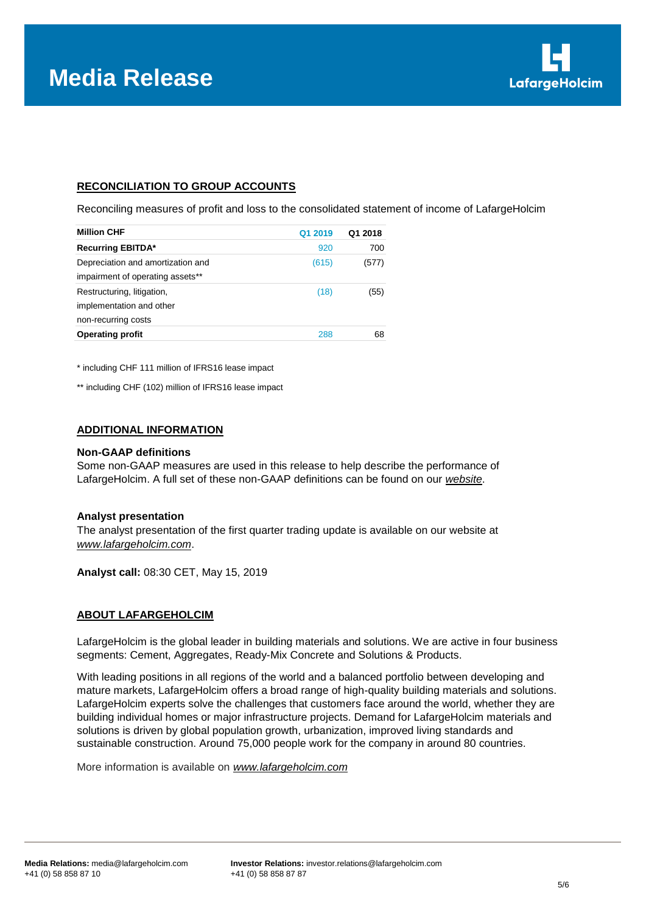

# **RECONCILIATION TO GROUP ACCOUNTS**

Reconciling measures of profit and loss to the consolidated statement of income of LafargeHolcim

| <b>Million CHF</b>                | Q1 2019 | Q1 2018 |
|-----------------------------------|---------|---------|
| <b>Recurring EBITDA*</b>          | 920     | 700     |
| Depreciation and amortization and | (615)   | (577)   |
| impairment of operating assets**  |         |         |
| Restructuring, litigation,        | (18)    | (55)    |
| implementation and other          |         |         |
| non-recurring costs               |         |         |
| <b>Operating profit</b>           | 288     | 68      |

\* including CHF 111 million of IFRS16 lease impact

\*\* including CHF (102) million of IFRS16 lease impact

#### **ADDITIONAL INFORMATION**

#### **Non-GAAP definitions**

Some non-GAAP measures are used in this release to help describe the performance of LafargeHolcim. A full set of these non-GAAP definitions can be found on our *[website](http://www.lafargeholcim.com/non-gaap-measures)*.

#### **Analyst presentation**

The analyst presentation of the first quarter trading update is available on our website at *[www.lafargeholcim.com](http://www.lafargeholcim.com/)*.

**Analyst call:** 08:30 CET, May 15, 2019

#### **ABOUT LAFARGEHOLCIM**

LafargeHolcim is the global leader in building materials and solutions. We are active in four business segments: Cement, Aggregates, Ready-Mix Concrete and Solutions & Products.

With leading positions in all regions of the world and a balanced portfolio between developing and mature markets, LafargeHolcim offers a broad range of high-quality building materials and solutions. LafargeHolcim experts solve the challenges that customers face around the world, whether they are building individual homes or major infrastructure projects. Demand for LafargeHolcim materials and solutions is driven by global population growth, urbanization, improved living standards and sustainable construction. Around 75,000 people work for the company in around 80 countries.

More information is available on *[www.lafargeholcim.com](http://www.lafargeholcim.com/)*